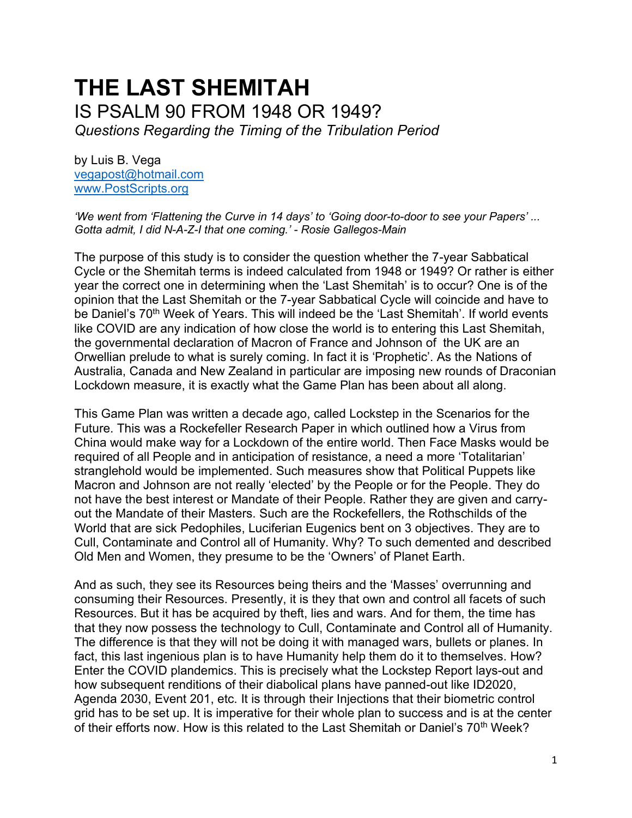# **THE LAST SHEMITAH**  IS PSALM 90 FROM 1948 OR 1949? *Questions Regarding the Timing of the Tribulation Period*

by Luis B. Vega [vegapost@hotmail.com](mailto:vegapost@hotmail.com) [www.PostScripts.org](http://www.postscripts.org/)

*'We went from 'Flattening the Curve in 14 days' to 'Going door-to-door to see your Papers' ... Gotta admit, I did N-A-Z-I that one coming.' - Rosie Gallegos-Main*

The purpose of this study is to consider the question whether the 7-year Sabbatical Cycle or the Shemitah terms is indeed calculated from 1948 or 1949? Or rather is either year the correct one in determining when the 'Last Shemitah' is to occur? One is of the opinion that the Last Shemitah or the 7-year Sabbatical Cycle will coincide and have to be Daniel's 70<sup>th</sup> Week of Years. This will indeed be the 'Last Shemitah'. If world events like COVID are any indication of how close the world is to entering this Last Shemitah, the governmental declaration of Macron of France and Johnson of the UK are an Orwellian prelude to what is surely coming. In fact it is 'Prophetic'. As the Nations of Australia, Canada and New Zealand in particular are imposing new rounds of Draconian Lockdown measure, it is exactly what the Game Plan has been about all along.

This Game Plan was written a decade ago, called Lockstep in the Scenarios for the Future. This was a Rockefeller Research Paper in which outlined how a Virus from China would make way for a Lockdown of the entire world. Then Face Masks would be required of all People and in anticipation of resistance, a need a more 'Totalitarian' stranglehold would be implemented. Such measures show that Political Puppets like Macron and Johnson are not really 'elected' by the People or for the People. They do not have the best interest or Mandate of their People. Rather they are given and carryout the Mandate of their Masters. Such are the Rockefellers, the Rothschilds of the World that are sick Pedophiles, Luciferian Eugenics bent on 3 objectives. They are to Cull, Contaminate and Control all of Humanity. Why? To such demented and described Old Men and Women, they presume to be the 'Owners' of Planet Earth.

And as such, they see its Resources being theirs and the 'Masses' overrunning and consuming their Resources. Presently, it is they that own and control all facets of such Resources. But it has be acquired by theft, lies and wars. And for them, the time has that they now possess the technology to Cull, Contaminate and Control all of Humanity. The difference is that they will not be doing it with managed wars, bullets or planes. In fact, this last ingenious plan is to have Humanity help them do it to themselves. How? Enter the COVID plandemics. This is precisely what the Lockstep Report lays-out and how subsequent renditions of their diabolical plans have panned-out like ID2020, Agenda 2030, Event 201, etc. It is through their Injections that their biometric control grid has to be set up. It is imperative for their whole plan to success and is at the center of their efforts now. How is this related to the Last Shemitah or Daniel's 70<sup>th</sup> Week?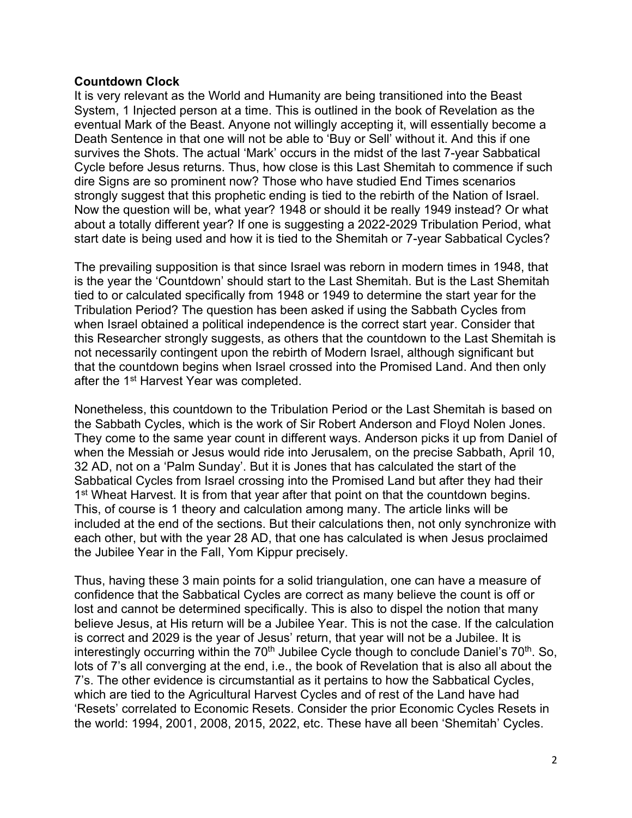## **Countdown Clock**

It is very relevant as the World and Humanity are being transitioned into the Beast System, 1 Injected person at a time. This is outlined in the book of Revelation as the eventual Mark of the Beast. Anyone not willingly accepting it, will essentially become a Death Sentence in that one will not be able to 'Buy or Sell' without it. And this if one survives the Shots. The actual 'Mark' occurs in the midst of the last 7-year Sabbatical Cycle before Jesus returns. Thus, how close is this Last Shemitah to commence if such dire Signs are so prominent now? Those who have studied End Times scenarios strongly suggest that this prophetic ending is tied to the rebirth of the Nation of Israel. Now the question will be, what year? 1948 or should it be really 1949 instead? Or what about a totally different year? If one is suggesting a 2022-2029 Tribulation Period, what start date is being used and how it is tied to the Shemitah or 7-year Sabbatical Cycles?

The prevailing supposition is that since Israel was reborn in modern times in 1948, that is the year the 'Countdown' should start to the Last Shemitah. But is the Last Shemitah tied to or calculated specifically from 1948 or 1949 to determine the start year for the Tribulation Period? The question has been asked if using the Sabbath Cycles from when Israel obtained a political independence is the correct start year. Consider that this Researcher strongly suggests, as others that the countdown to the Last Shemitah is not necessarily contingent upon the rebirth of Modern Israel, although significant but that the countdown begins when Israel crossed into the Promised Land. And then only after the 1<sup>st</sup> Harvest Year was completed.

Nonetheless, this countdown to the Tribulation Period or the Last Shemitah is based on the Sabbath Cycles, which is the work of Sir Robert Anderson and Floyd Nolen Jones. They come to the same year count in different ways. Anderson picks it up from Daniel of when the Messiah or Jesus would ride into Jerusalem, on the precise Sabbath, April 10, 32 AD, not on a 'Palm Sunday'. But it is Jones that has calculated the start of the Sabbatical Cycles from Israel crossing into the Promised Land but after they had their 1<sup>st</sup> Wheat Harvest. It is from that year after that point on that the countdown begins. This, of course is 1 theory and calculation among many. The article links will be included at the end of the sections. But their calculations then, not only synchronize with each other, but with the year 28 AD, that one has calculated is when Jesus proclaimed the Jubilee Year in the Fall, Yom Kippur precisely.

Thus, having these 3 main points for a solid triangulation, one can have a measure of confidence that the Sabbatical Cycles are correct as many believe the count is off or lost and cannot be determined specifically. This is also to dispel the notion that many believe Jesus, at His return will be a Jubilee Year. This is not the case. If the calculation is correct and 2029 is the year of Jesus' return, that year will not be a Jubilee. It is interestingly occurring within the 70<sup>th</sup> Jubilee Cycle though to conclude Daniel's 70<sup>th</sup>. So, lots of 7's all converging at the end, i.e., the book of Revelation that is also all about the 7's. The other evidence is circumstantial as it pertains to how the Sabbatical Cycles, which are tied to the Agricultural Harvest Cycles and of rest of the Land have had 'Resets' correlated to Economic Resets. Consider the prior Economic Cycles Resets in the world: 1994, 2001, 2008, 2015, 2022, etc. These have all been 'Shemitah' Cycles.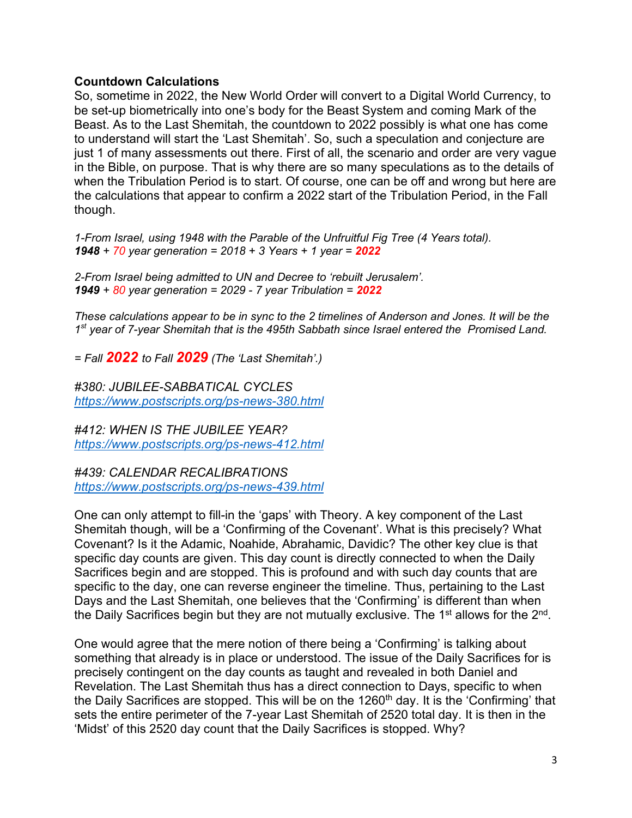# **Countdown Calculations**

So, sometime in 2022, the New World Order will convert to a Digital World Currency, to be set-up biometrically into one's body for the Beast System and coming Mark of the Beast. As to the Last Shemitah, the countdown to 2022 possibly is what one has come to understand will start the 'Last Shemitah'. So, such a speculation and conjecture are just 1 of many assessments out there. First of all, the scenario and order are very vague in the Bible, on purpose. That is why there are so many speculations as to the details of when the Tribulation Period is to start. Of course, one can be off and wrong but here are the calculations that appear to confirm a 2022 start of the Tribulation Period, in the Fall though.

*1-From Israel, using 1948 with the Parable of the Unfruitful Fig Tree (4 Years total). 1948 + 70 year generation = 2018 + 3 Years + 1 year = 2022*

*2-From Israel being admitted to UN and Decree to 'rebuilt Jerusalem'. 1949 + 80 year generation = 2029 - 7 year Tribulation = 2022*

*These calculations appear to be in sync to the 2 timelines of Anderson and Jones. It will be the 1 st year of 7-year Shemitah that is the 495th Sabbath since Israel entered the Promised Land.*

*= Fall 2022 to Fall 2029 (The 'Last Shemitah'.)*

*#380: JUBILEE-SABBATICAL CYCLES <https://www.postscripts.org/ps-news-380.html>*

*#412: WHEN IS THE JUBILEE YEAR? <https://www.postscripts.org/ps-news-412.html>*

*#439: CALENDAR RECALIBRATIONS <https://www.postscripts.org/ps-news-439.html>*

One can only attempt to fill-in the 'gaps' with Theory. A key component of the Last Shemitah though, will be a 'Confirming of the Covenant'. What is this precisely? What Covenant? Is it the Adamic, Noahide, Abrahamic, Davidic? The other key clue is that specific day counts are given. This day count is directly connected to when the Daily Sacrifices begin and are stopped. This is profound and with such day counts that are specific to the day, one can reverse engineer the timeline. Thus, pertaining to the Last Days and the Last Shemitah, one believes that the 'Confirming' is different than when the Daily Sacrifices begin but they are not mutually exclusive. The 1<sup>st</sup> allows for the 2<sup>nd</sup>.

One would agree that the mere notion of there being a 'Confirming' is talking about something that already is in place or understood. The issue of the Daily Sacrifices for is precisely contingent on the day counts as taught and revealed in both Daniel and Revelation. The Last Shemitah thus has a direct connection to Days, specific to when the Daily Sacrifices are stopped. This will be on the  $1260<sup>th</sup>$  day. It is the 'Confirming' that sets the entire perimeter of the 7-year Last Shemitah of 2520 total day. It is then in the 'Midst' of this 2520 day count that the Daily Sacrifices is stopped. Why?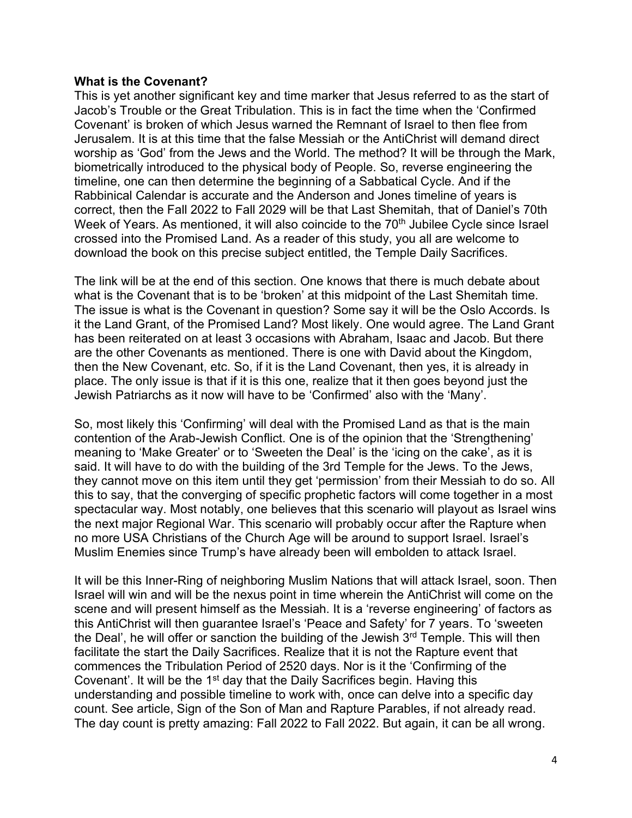#### **What is the Covenant?**

This is yet another significant key and time marker that Jesus referred to as the start of Jacob's Trouble or the Great Tribulation. This is in fact the time when the 'Confirmed Covenant' is broken of which Jesus warned the Remnant of Israel to then flee from Jerusalem. It is at this time that the false Messiah or the AntiChrist will demand direct worship as 'God' from the Jews and the World. The method? It will be through the Mark, biometrically introduced to the physical body of People. So, reverse engineering the timeline, one can then determine the beginning of a Sabbatical Cycle. And if the Rabbinical Calendar is accurate and the Anderson and Jones timeline of years is correct, then the Fall 2022 to Fall 2029 will be that Last Shemitah, that of Daniel's 70th Week of Years. As mentioned, it will also coincide to the 70<sup>th</sup> Jubilee Cycle since Israel crossed into the Promised Land. As a reader of this study, you all are welcome to download the book on this precise subject entitled, the Temple Daily Sacrifices.

The link will be at the end of this section. One knows that there is much debate about what is the Covenant that is to be 'broken' at this midpoint of the Last Shemitah time. The issue is what is the Covenant in question? Some say it will be the Oslo Accords. Is it the Land Grant, of the Promised Land? Most likely. One would agree. The Land Grant has been reiterated on at least 3 occasions with Abraham, Isaac and Jacob. But there are the other Covenants as mentioned. There is one with David about the Kingdom, then the New Covenant, etc. So, if it is the Land Covenant, then yes, it is already in place. The only issue is that if it is this one, realize that it then goes beyond just the Jewish Patriarchs as it now will have to be 'Confirmed' also with the 'Many'.

So, most likely this 'Confirming' will deal with the Promised Land as that is the main contention of the Arab-Jewish Conflict. One is of the opinion that the 'Strengthening' meaning to 'Make Greater' or to 'Sweeten the Deal' is the 'icing on the cake', as it is said. It will have to do with the building of the 3rd Temple for the Jews. To the Jews, they cannot move on this item until they get 'permission' from their Messiah to do so. All this to say, that the converging of specific prophetic factors will come together in a most spectacular way. Most notably, one believes that this scenario will playout as Israel wins the next major Regional War. This scenario will probably occur after the Rapture when no more USA Christians of the Church Age will be around to support Israel. Israel's Muslim Enemies since Trump's have already been will embolden to attack Israel.

It will be this Inner-Ring of neighboring Muslim Nations that will attack Israel, soon. Then Israel will win and will be the nexus point in time wherein the AntiChrist will come on the scene and will present himself as the Messiah. It is a 'reverse engineering' of factors as this AntiChrist will then guarantee Israel's 'Peace and Safety' for 7 years. To 'sweeten the Deal', he will offer or sanction the building of the Jewish 3<sup>rd</sup> Temple. This will then facilitate the start the Daily Sacrifices. Realize that it is not the Rapture event that commences the Tribulation Period of 2520 days. Nor is it the 'Confirming of the Covenant'. It will be the 1<sup>st</sup> day that the Daily Sacrifices begin. Having this understanding and possible timeline to work with, once can delve into a specific day count. See article, Sign of the Son of Man and Rapture Parables, if not already read. The day count is pretty amazing: Fall 2022 to Fall 2022. But again, it can be all wrong.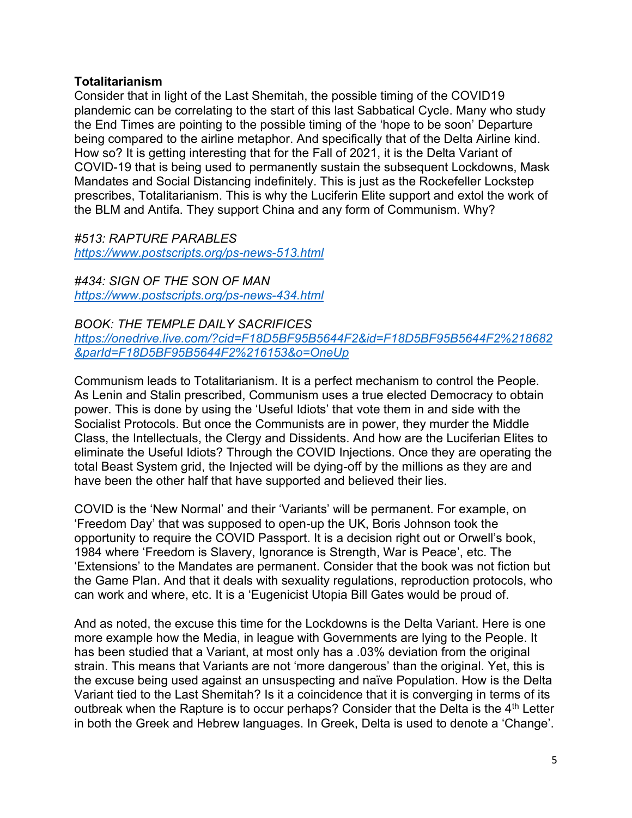# **Totalitarianism**

Consider that in light of the Last Shemitah, the possible timing of the COVID19 plandemic can be correlating to the start of this last Sabbatical Cycle. Many who study the End Times are pointing to the possible timing of the 'hope to be soon' Departure being compared to the airline metaphor. And specifically that of the Delta Airline kind. How so? It is getting interesting that for the Fall of 2021, it is the Delta Variant of COVID-19 that is being used to permanently sustain the subsequent Lockdowns, Mask Mandates and Social Distancing indefinitely. This is just as the Rockefeller Lockstep prescribes, Totalitarianism. This is why the Luciferin Elite support and extol the work of the BLM and Antifa. They support China and any form of Communism. Why?

*#513: RAPTURE PARABLES <https://www.postscripts.org/ps-news-513.html>*

*#434: SIGN OF THE SON OF MAN <https://www.postscripts.org/ps-news-434.html>*

*BOOK: THE TEMPLE DAILY SACRIFICES [https://onedrive.live.com/?cid=F18D5BF95B5644F2&id=F18D5BF95B5644F2%218682](https://onedrive.live.com/?cid=F18D5BF95B5644F2&id=F18D5BF95B5644F2%218682&parId=F18D5BF95B5644F2%216153&o=OneUp) [&parId=F18D5BF95B5644F2%216153&o=OneUp](https://onedrive.live.com/?cid=F18D5BF95B5644F2&id=F18D5BF95B5644F2%218682&parId=F18D5BF95B5644F2%216153&o=OneUp)*

Communism leads to Totalitarianism. It is a perfect mechanism to control the People. As Lenin and Stalin prescribed, Communism uses a true elected Democracy to obtain power. This is done by using the 'Useful Idiots' that vote them in and side with the Socialist Protocols. But once the Communists are in power, they murder the Middle Class, the Intellectuals, the Clergy and Dissidents. And how are the Luciferian Elites to eliminate the Useful Idiots? Through the COVID Injections. Once they are operating the total Beast System grid, the Injected will be dying-off by the millions as they are and have been the other half that have supported and believed their lies.

COVID is the 'New Normal' and their 'Variants' will be permanent. For example, on 'Freedom Day' that was supposed to open-up the UK, Boris Johnson took the opportunity to require the COVID Passport. It is a decision right out or Orwell's book, 1984 where 'Freedom is Slavery, Ignorance is Strength, War is Peace', etc. The 'Extensions' to the Mandates are permanent. Consider that the book was not fiction but the Game Plan. And that it deals with sexuality regulations, reproduction protocols, who can work and where, etc. It is a 'Eugenicist Utopia Bill Gates would be proud of.

And as noted, the excuse this time for the Lockdowns is the Delta Variant. Here is one more example how the Media, in league with Governments are lying to the People. It has been studied that a Variant, at most only has a .03% deviation from the original strain. This means that Variants are not 'more dangerous' than the original. Yet, this is the excuse being used against an unsuspecting and naïve Population. How is the Delta Variant tied to the Last Shemitah? Is it a coincidence that it is converging in terms of its outbreak when the Rapture is to occur perhaps? Consider that the Delta is the  $4<sup>th</sup>$  Letter in both the Greek and Hebrew languages. In Greek, Delta is used to denote a 'Change'.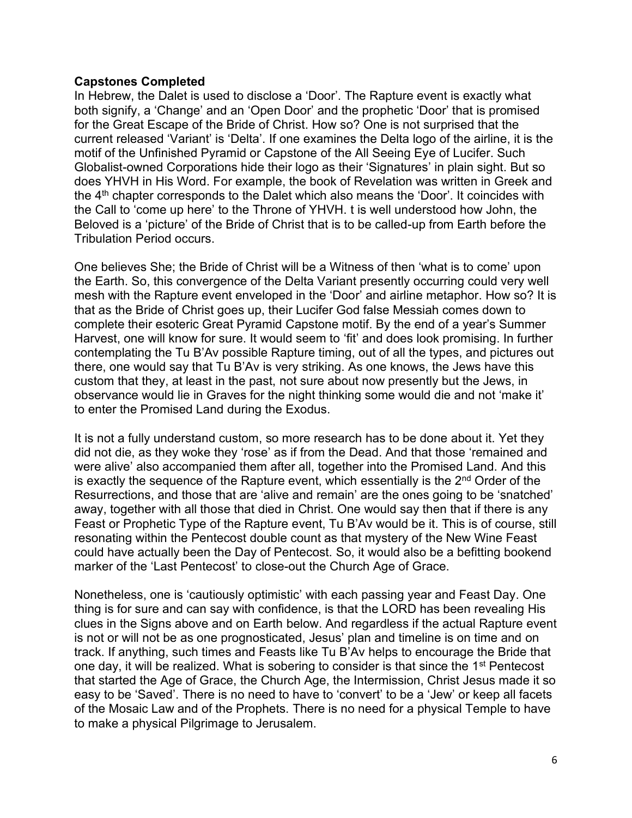# **Capstones Completed**

In Hebrew, the Dalet is used to disclose a 'Door'. The Rapture event is exactly what both signify, a 'Change' and an 'Open Door' and the prophetic 'Door' that is promised for the Great Escape of the Bride of Christ. How so? One is not surprised that the current released 'Variant' is 'Delta'. If one examines the Delta logo of the airline, it is the motif of the Unfinished Pyramid or Capstone of the All Seeing Eye of Lucifer. Such Globalist-owned Corporations hide their logo as their 'Signatures' in plain sight. But so does YHVH in His Word. For example, the book of Revelation was written in Greek and the  $4<sup>th</sup>$  chapter corresponds to the Dalet which also means the 'Door'. It coincides with the Call to 'come up here' to the Throne of YHVH. t is well understood how John, the Beloved is a 'picture' of the Bride of Christ that is to be called-up from Earth before the Tribulation Period occurs.

One believes She; the Bride of Christ will be a Witness of then 'what is to come' upon the Earth. So, this convergence of the Delta Variant presently occurring could very well mesh with the Rapture event enveloped in the 'Door' and airline metaphor. How so? It is that as the Bride of Christ goes up, their Lucifer God false Messiah comes down to complete their esoteric Great Pyramid Capstone motif. By the end of a year's Summer Harvest, one will know for sure. It would seem to 'fit' and does look promising. In further contemplating the Tu B'Av possible Rapture timing, out of all the types, and pictures out there, one would say that Tu B'Av is very striking. As one knows, the Jews have this custom that they, at least in the past, not sure about now presently but the Jews, in observance would lie in Graves for the night thinking some would die and not 'make it' to enter the Promised Land during the Exodus.

It is not a fully understand custom, so more research has to be done about it. Yet they did not die, as they woke they 'rose' as if from the Dead. And that those 'remained and were alive' also accompanied them after all, together into the Promised Land. And this is exactly the sequence of the Rapture event, which essentially is the  $2^{nd}$  Order of the Resurrections, and those that are 'alive and remain' are the ones going to be 'snatched' away, together with all those that died in Christ. One would say then that if there is any Feast or Prophetic Type of the Rapture event, Tu B'Av would be it. This is of course, still resonating within the Pentecost double count as that mystery of the New Wine Feast could have actually been the Day of Pentecost. So, it would also be a befitting bookend marker of the 'Last Pentecost' to close-out the Church Age of Grace.

Nonetheless, one is 'cautiously optimistic' with each passing year and Feast Day. One thing is for sure and can say with confidence, is that the LORD has been revealing His clues in the Signs above and on Earth below. And regardless if the actual Rapture event is not or will not be as one prognosticated, Jesus' plan and timeline is on time and on track. If anything, such times and Feasts like Tu B'Av helps to encourage the Bride that one day, it will be realized. What is sobering to consider is that since the 1<sup>st</sup> Pentecost that started the Age of Grace, the Church Age, the Intermission, Christ Jesus made it so easy to be 'Saved'. There is no need to have to 'convert' to be a 'Jew' or keep all facets of the Mosaic Law and of the Prophets. There is no need for a physical Temple to have to make a physical Pilgrimage to Jerusalem.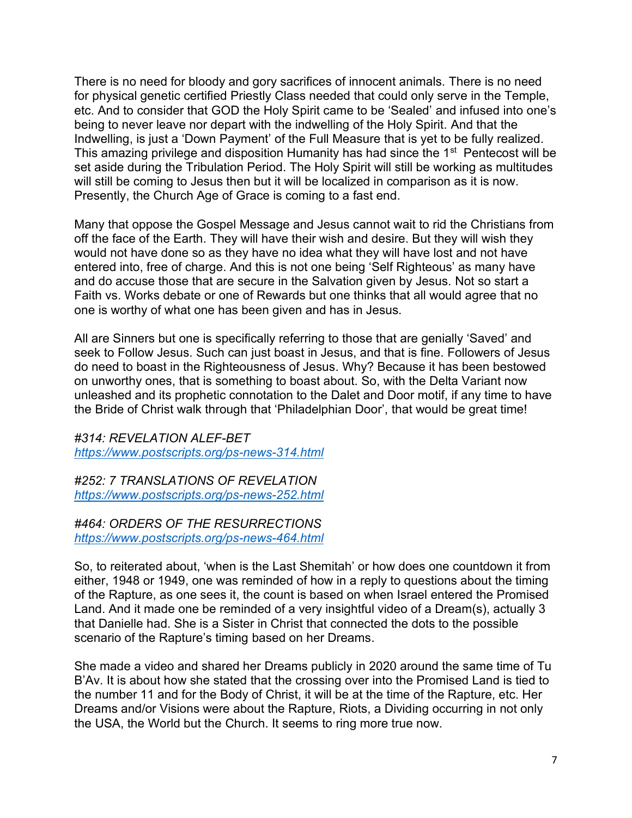There is no need for bloody and gory sacrifices of innocent animals. There is no need for physical genetic certified Priestly Class needed that could only serve in the Temple, etc. And to consider that GOD the Holy Spirit came to be 'Sealed' and infused into one's being to never leave nor depart with the indwelling of the Holy Spirit. And that the Indwelling, is just a 'Down Payment' of the Full Measure that is yet to be fully realized. This amazing privilege and disposition Humanity has had since the 1<sup>st</sup> Pentecost will be set aside during the Tribulation Period. The Holy Spirit will still be working as multitudes will still be coming to Jesus then but it will be localized in comparison as it is now. Presently, the Church Age of Grace is coming to a fast end.

Many that oppose the Gospel Message and Jesus cannot wait to rid the Christians from off the face of the Earth. They will have their wish and desire. But they will wish they would not have done so as they have no idea what they will have lost and not have entered into, free of charge. And this is not one being 'Self Righteous' as many have and do accuse those that are secure in the Salvation given by Jesus. Not so start a Faith vs. Works debate or one of Rewards but one thinks that all would agree that no one is worthy of what one has been given and has in Jesus.

All are Sinners but one is specifically referring to those that are genially 'Saved' and seek to Follow Jesus. Such can just boast in Jesus, and that is fine. Followers of Jesus do need to boast in the Righteousness of Jesus. Why? Because it has been bestowed on unworthy ones, that is something to boast about. So, with the Delta Variant now unleashed and its prophetic connotation to the Dalet and Door motif, if any time to have the Bride of Christ walk through that 'Philadelphian Door', that would be great time!

*#314: REVELATION ALEF-BET <https://www.postscripts.org/ps-news-314.html>*

*#252: 7 TRANSLATIONS OF REVELATION <https://www.postscripts.org/ps-news-252.html>*

# *#464: ORDERS OF THE RESURRECTIONS <https://www.postscripts.org/ps-news-464.html>*

So, to reiterated about, 'when is the Last Shemitah' or how does one countdown it from either, 1948 or 1949, one was reminded of how in a reply to questions about the timing of the Rapture, as one sees it, the count is based on when Israel entered the Promised Land. And it made one be reminded of a very insightful video of a Dream(s), actually 3 that Danielle had. She is a Sister in Christ that connected the dots to the possible scenario of the Rapture's timing based on her Dreams.

She made a video and shared her Dreams publicly in 2020 around the same time of Tu B'Av. It is about how she stated that the crossing over into the Promised Land is tied to the number 11 and for the Body of Christ, it will be at the time of the Rapture, etc. Her Dreams and/or Visions were about the Rapture, Riots, a Dividing occurring in not only the USA, the World but the Church. It seems to ring more true now.